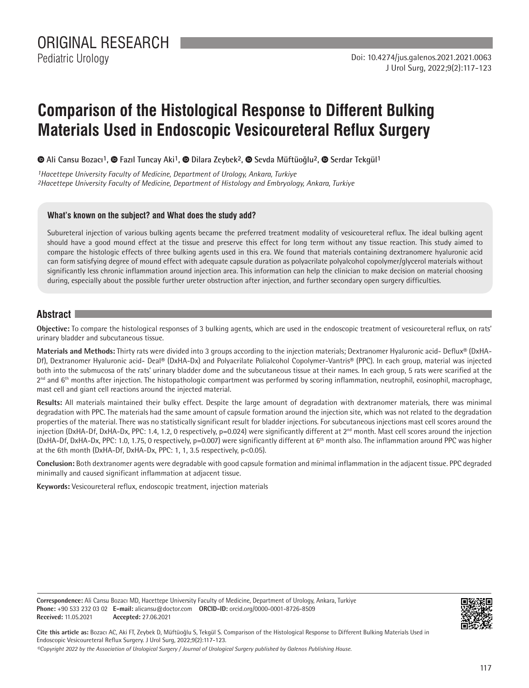Pediatric Urology

# **Comparison of the Histological Response to Different Bulking Materials Used in Endoscopic Vesicoureteral Reflux Surgery**

**Ali Cansu Bozacı1, Fazıl Tuncay Aki1,Dilara Zeybek2, Sevda Müftüoğlu2,Serdar Tekgül1**

*1Hacettepe University Faculty of Medicine, Department of Urology, Ankara, Turkiye 2Hacettepe University Faculty of Medicine, Department of Histology and Embryology, Ankara, Turkiye*

### **What's known on the subject? and What does the study add?**

Subureteral injection of various bulking agents became the preferred treatment modality of vesicoureteral reflux. The ideal bulking agent should have a good mound effect at the tissue and preserve this effect for long term without any tissue reaction. This study aimed to compare the histologic effects of three bulking agents used in this era. We found that materials containing dextranomere hyaluronic acid can form satisfying degree of mound effect with adequate capsule duration as polyacrilate polyalcohol copolymer/glycerol materials without significantly less chronic inflammation around injection area. This information can help the clinician to make decision on material choosing during, especially about the possible further ureter obstruction after injection, and further secondary open surgery difficulties.

# **Abstract**

**Objective:** To compare the histological responses of 3 bulking agents, which are used in the endoscopic treatment of vesicoureteral reflux, on rats' urinary bladder and subcutaneous tissue.

**Materials and Methods:** Thirty rats were divided into 3 groups according to the injection materials; Dextranomer Hyaluronic acid- Deflux® (DxHA-Df), Dextranomer Hyaluronic acid- Deal® (DxHA-Dx) and Polyacrilate Polialcohol Copolymer-Vantris® (PPC). In each group, material was injected both into the submucosa of the rats' urinary bladder dome and the subcutaneous tissue at their names. In each group, 5 rats were scarified at the 2<sup>nd</sup> and 6<sup>th</sup> months after injection. The histopathologic compartment was performed by scoring inflammation, neutrophil, eosinophil, macrophage, mast cell and giant cell reactions around the injected material.

**Results:** All materials maintained their bulky effect. Despite the large amount of degradation with dextranomer materials, there was minimal degradation with PPC. The materials had the same amount of capsule formation around the injection site, which was not related to the degradation properties of the material. There was no statistically significant result for bladder injections. For subcutaneous injections mast cell scores around the injection (DxHA-Df, DxHA-Dx, PPC: 1.4, 1.2, 0 respectively, p=0.024) were significantly different at 2<sup>nd</sup> month. Mast cell scores around the injection (DxHA-Df, DxHA-Dx, PPC: 1.0, 1.75, 0 respectively, p=0.007) were significantly different at 6th month also. The inflammation around PPC was higher at the 6th month (DxHA-Df, DxHA-Dx, PPC: 1, 1, 3.5 respectively, p<0.05).

**Conclusion:** Both dextranomer agents were degradable with good capsule formation and minimal inflammation in the adjacent tissue. PPC degraded minimally and caused significant inflammation at adjacent tissue.

**Keywords:** Vesicoureteral reflux, endoscopic treatment, injection materials

**Correspondence:** Ali Cansu Bozacı MD, Hacettepe University Faculty of Medicine, Department of Urology, Ankara, Turkiye **Phone:** +90 533 232 03 02 **E-mail:** alicansu@doctor.com **ORCID-ID:** orcid.org/0000-0001-8726-8509 **Received:** 11.05.2021 **Accepted:** 27.06.2021



**Cite this article as:** Bozacı AC, Aki FT, Zeybek D, Müftüoğlu S, Tekgül S. Comparison of the Histological Response to Different Bulking Materials Used in Endoscopic Vesicoureteral Reflux Surgery. J Urol Surg, 2022;9(2):117-123.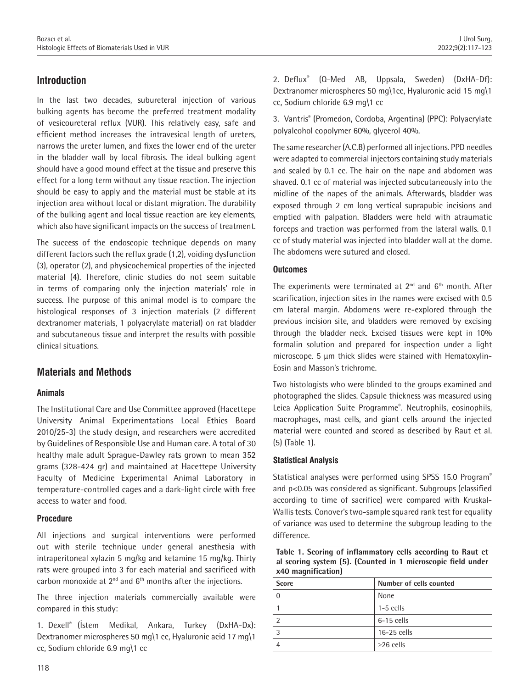# **Introduction**

In the last two decades, subureteral injection of various bulking agents has become the preferred treatment modality of vesicoureteral reflux (VUR). This relatively easy, safe and efficient method increases the intravesical length of ureters, narrows the ureter lumen, and fixes the lower end of the ureter in the bladder wall by local fibrosis. The ideal bulking agent should have a good mound effect at the tissue and preserve this effect for a long term without any tissue reaction. The injection should be easy to apply and the material must be stable at its injection area without local or distant migration. The durability of the bulking agent and local tissue reaction are key elements, which also have significant impacts on the success of treatment.

The success of the endoscopic technique depends on many different factors such the reflux grade (1,2), voiding dysfunction (3), operator (2), and physicochemical properties of the injected material (4). Therefore, clinic studies do not seem suitable in terms of comparing only the injection materials' role in success. The purpose of this animal model is to compare the histological responses of 3 injection materials (2 different dextranomer materials, 1 polyacrylate material) on rat bladder and subcutaneous tissue and interpret the results with possible clinical situations.

## **Materials and Methods**

#### **Animals**

The Institutional Care and Use Committee approved (Hacettepe University Animal Experimentations Local Ethics Board 2010/25-3) the study design, and researchers were accredited by Guidelines of Responsible Use and Human care. A total of 30 healthy male adult Sprague-Dawley rats grown to mean 352 grams (328-424 gr) and maintained at Hacettepe University Faculty of Medicine Experimental Animal Laboratory in temperature-controlled cages and a dark-light circle with free access to water and food.

#### **Procedure**

All injections and surgical interventions were performed out with sterile technique under general anesthesia with intraperitoneal xylazin 5 mg/kg and ketamine 15 mg/kg. Thirty rats were grouped into 3 for each material and sacrificed with carbon monoxide at  $2^{nd}$  and  $6^{th}$  months after the injections.

The three injection materials commercially available were compared in this study:

1. Dexell® (İstem Medikal, Ankara, Turkey (DxHA-Dx): Dextranomer microspheres 50 mg\1 cc, Hyaluronic acid 17 mg\1 cc, Sodium chloride 6.9 mg\1 cc

2. Deflux® (Q-Med AB, Uppsala, Sweden) (DxHA-Df): Dextranomer microspheres 50 mg\1cc, Hyaluronic acid 15 mg\1 cc, Sodium chloride 6.9 mg\1 cc

3. Vantris® (Promedon, Cordoba, Argentina) (PPC): Polyacrylate polyalcohol copolymer 60%, glycerol 40%.

The same researcher (A.C.B) performed all injections. PPD needles were adapted to commercial injectors containing study materials and scaled by 0.1 cc. The hair on the nape and abdomen was shaved. 0.1 cc of material was injected subcutaneously into the midline of the napes of the animals. Afterwards, bladder was exposed through 2 cm long vertical suprapubic incisions and emptied with palpation. Bladders were held with atraumatic forceps and traction was performed from the lateral walls. 0.1 cc of study material was injected into bladder wall at the dome. The abdomens were sutured and closed.

#### **Outcomes**

The experiments were terminated at  $2^{nd}$  and  $6^{th}$  month. After scarification, injection sites in the names were excised with 0.5 cm lateral margin. Abdomens were re-explored through the previous incision site, and bladders were removed by excising through the bladder neck. Excised tissues were kept in 10% formalin solution and prepared for inspection under a light microscope. 5 μm thick slides were stained with Hematoxylin-Eosin and Masson's trichrome.

Two histologists who were blinded to the groups examined and photographed the slides. Capsule thickness was measured using Leica Application Suite Programme®. Neutrophils, eosinophils, macrophages, mast cells, and giant cells around the injected material were counted and scored as described by Raut et al. (5) (Table 1).

#### **Statistical Analysis**

Statistical analyses were performed using SPSS 15.0 Program<sup>®</sup> and p<0.05 was considered as significant. Subgroups (classified according to time of sacrifice) were compared with Kruskal-Wallis tests. Conover's two-sample squared rank test for equality of variance was used to determine the subgroup leading to the difference.

**Table 1. Scoring of inflammatory cells according to Raut et al scoring system (5). (Counted in 1 microscopic field under x40 magnification)**

| <b>Score</b> | Number of cells counted |  |  |
|--------------|-------------------------|--|--|
|              | None                    |  |  |
|              | $1-5$ cells             |  |  |
|              | $6-15$ cells            |  |  |
| 3            | 16-25 cells             |  |  |
|              | $\geq$ 26 cells         |  |  |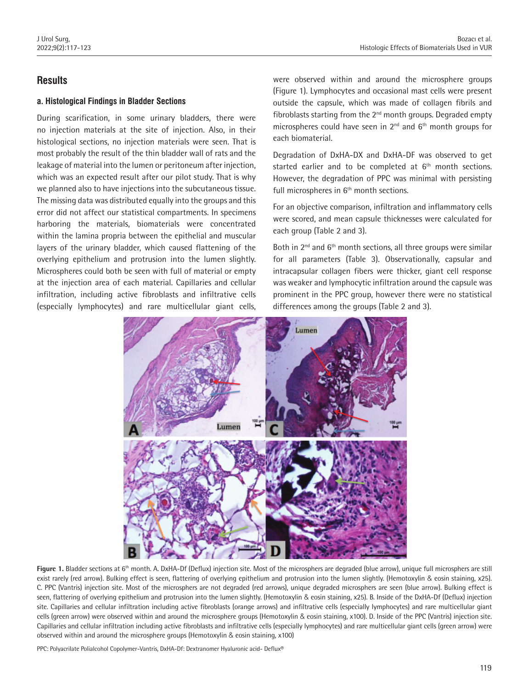# **Results**

#### **a. Histological Findings in Bladder Sections**

During scarification, in some urinary bladders, there were no injection materials at the site of injection. Also, in their histological sections, no injection materials were seen. That is most probably the result of the thin bladder wall of rats and the leakage of material into the lumen or peritoneum after injection, which was an expected result after our pilot study. That is why we planned also to have injections into the subcutaneous tissue. The missing data was distributed equally into the groups and this error did not affect our statistical compartments. In specimens harboring the materials, biomaterials were concentrated within the lamina propria between the epithelial and muscular layers of the urinary bladder, which caused flattening of the overlying epithelium and protrusion into the lumen slightly. Microspheres could both be seen with full of material or empty at the injection area of each material. Capillaries and cellular infiltration, including active fibroblasts and infiltrative cells (especially lymphocytes) and rare multicellular giant cells,

were observed within and around the microsphere groups (Figure 1). Lymphocytes and occasional mast cells were present outside the capsule, which was made of collagen fibrils and fibroblasts starting from the  $2<sup>nd</sup>$  month groups. Degraded empty microspheres could have seen in  $2^{nd}$  and  $6^{th}$  month groups for each biomaterial.

Degradation of DxHA-DX and DxHA-DF was observed to get started earlier and to be completed at  $6<sup>th</sup>$  month sections. However, the degradation of PPC was minimal with persisting full microspheres in  $6<sup>th</sup>$  month sections.

For an objective comparison, infiltration and inflammatory cells were scored, and mean capsule thicknesses were calculated for each group (Table 2 and 3).

Both in  $2^{nd}$  and  $6^{th}$  month sections, all three groups were similar for all parameters (Table 3). Observationally, capsular and intracapsular collagen fibers were thicker, giant cell response was weaker and lymphocytic infiltration around the capsule was prominent in the PPC group, however there were no statistical differences among the groups (Table 2 and 3).



Figure 1. Bladder sections at 6<sup>th</sup> month. A. DxHA-Df (Deflux) injection site. Most of the microsphers are degraded (blue arrow), unique full microsphers are still exist rarely (red arrow). Bulking effect is seen, flattering of overlying epithelium and protrusion into the lumen slightly. (Hemotoxylin & eosin staining, x25). C. PPC (Vantris) injection site. Most of the microsphers are not degraded (red arrows), unique degraded microsphers are seen (blue arrow). Bulking effect is seen, flattering of overlying epithelium and protrusion into the lumen slightly. (Hemotoxylin & eosin staining, x25). B. Inside of the DxHA-Df (Deflux) injection site. Capillaries and cellular infiltration including active fibroblasts (orange arrows) and infiltrative cells (especially lymphocytes) and rare multicellular giant cells (green arrow) were observed within and around the microsphere groups (Hemotoxylin & eosin staining, x100). D. Inside of the PPC (Vantris) injection site. Capillaries and cellular infiltration including active fibroblasts and infiltrative cells (especially lymphocytes) and rare multicellular giant cells (green arrow) were observed within and around the microsphere groups (Hemotoxylin & eosin staining, x100)

PPC: Polyacrilate Polialcohol Copolymer-Vantris, DxHA-Df: Dextranomer Hyaluronic acid- Deflux®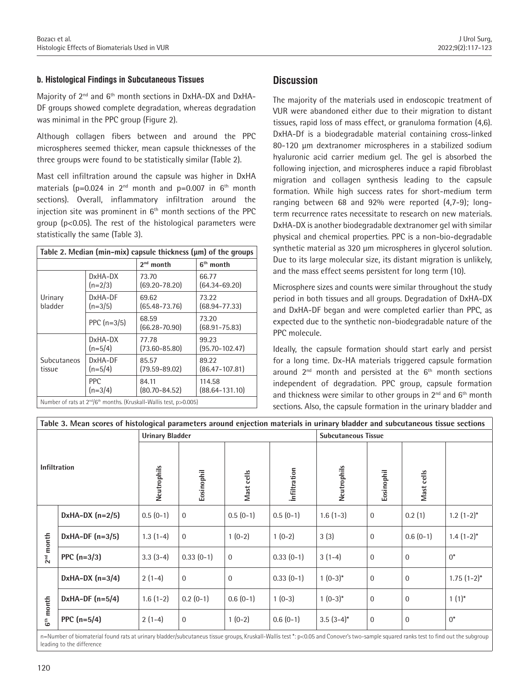#### **b. Histological Findings in Subcutaneous Tissues**

Majority of 2nd and 6th month sections in DxHA-DX and DxHA-DF groups showed complete degradation, whereas degradation was minimal in the PPC group (Figure 2).

Although collagen fibers between and around the PPC microspheres seemed thicker, mean capsule thicknesses of the three groups were found to be statistically similar (Table 2).

Mast cell infiltration around the capsule was higher in DxHA materials ( $p=0.024$  in  $2^{nd}$  month and  $p=0.007$  in  $6^{th}$  month sections). Overall, inflammatory infiltration around the injection site was prominent in  $6<sup>th</sup>$  month sections of the PPC group (p<0.05). The rest of the histological parameters were statistically the same (Table 3).

| Table 2. Median (min-mix) capsule thickness (µm) of the groups |                         |                                                                                            |                              |  |  |  |  |
|----------------------------------------------------------------|-------------------------|--------------------------------------------------------------------------------------------|------------------------------|--|--|--|--|
|                                                                |                         | $2^{nd}$ month                                                                             | $6th$ month                  |  |  |  |  |
|                                                                | DxHA-DX<br>$(n=2/3)$    | 73.70<br>$(69.20 - 78.20)$                                                                 | 66.77<br>$(64.34 - 69.20)$   |  |  |  |  |
| Urinary<br>bladder                                             | DxHA-DF<br>$(n=3/5)$    | 69.62<br>$(65.48 - 73.76)$                                                                 | 73.22<br>$(68.94 - 77.33)$   |  |  |  |  |
|                                                                | PPC $(n=3/5)$           | 68.59<br>$(66.28 - 70.90)$                                                                 | 73.20<br>$(68.91 - 75.83)$   |  |  |  |  |
|                                                                | DxHA-DX<br>$(n=5/4)$    | 77.78<br>$(73.60 - 85.80)$                                                                 | 99.23<br>$(95.70 - 102.47)$  |  |  |  |  |
| <b>Subcutaneos</b><br>tissue                                   | DxHA-DF<br>$(n=5/4)$    | 85.57<br>$(79.59 - 89.02)$                                                                 | 89.22<br>$(86.47 - 107.81)$  |  |  |  |  |
|                                                                | <b>PPC</b><br>$(n=3/4)$ | 84.11<br>$(80.70 - 84.52)$                                                                 | 114.58<br>$(88.64 - 131.10)$ |  |  |  |  |
|                                                                |                         | Number of rats at 2 <sup>nd</sup> /6 <sup>th</sup> months. (Kruskall-Wallis test, p>0.005) |                              |  |  |  |  |

# **Discussion**

The majority of the materials used in endoscopic treatment of VUR were abandoned either due to their migration to distant tissues, rapid loss of mass effect, or granuloma formation (4,6). DxHA-Df is a biodegradable material containing cross-linked 80-120 μm dextranomer microspheres in a stabilized sodium hyaluronic acid carrier medium gel. The gel is absorbed the following injection, and microspheres induce a rapid fibroblast migration and collagen synthesis leading to the capsule formation. While high success rates for short-medium term ranging between 68 and 92% were reported (4,7-9); longterm recurrence rates necessitate to research on new materials. DxHA-DX is another biodegradable dextranomer gel with similar physical and chemical properties. PPC is a non-bio-degradable synthetic material as 320 μm microspheres in glycerol solution. Due to its large molecular size, its distant migration is unlikely, and the mass effect seems persistent for long term (10).

Microsphere sizes and counts were similar throughout the study period in both tissues and all groups. Degradation of DxHA-DX and DxHA-DF began and were completed earlier than PPC, as expected due to the synthetic non-biodegradable nature of the PPC molecule.

Ideally, the capsule formation should start early and persist for a long time. Dx-HA materials triggered capsule formation around  $2<sup>nd</sup>$  month and persisted at the  $6<sup>th</sup>$  month sections independent of degradation. PPC group, capsule formation and thickness were similar to other groups in  $2^{nd}$  and  $6^{th}$  month sections. Also, the capsule formation in the urinary bladder and

|                          |                   | <b>Urinary Bladder</b> |                |              |                     | <b>Subcutaneous Tissue</b> |              |                |                 |
|--------------------------|-------------------|------------------------|----------------|--------------|---------------------|----------------------------|--------------|----------------|-----------------|
| <b>Infiltration</b>      |                   | Neutrophils            | Eosinophil     | Mast cells   | <b>Infiltration</b> | Neutrophils                | Eosinophil   | Mast cells     |                 |
|                          | DxHA-DX $(n=2/5)$ | $0.5(0-1)$             | $\mathbf 0$    | $0.5(0-1)$   | $0.5(0-1)$          | $1.6(1-3)$                 | $\bf{0}$     | 0.2(1)         | $1.2(1-2)^{*}$  |
| month<br>2 <sup>nd</sup> | DxHA-DF $(n=3/5)$ | $1.3(1-4)$             | $\mathbf{0}$   | $1(0-2)$     | $1(0-2)$            | 3(3)                       | $\mathbf{0}$ | $0.6(0-1)$     | $1.4(1-2)*$     |
|                          | PPC $(n=3/3)$     | $3.3(3-4)$             | $0.33(0-1)$    | $\Omega$     | $0.33(0-1)$         | $3(1-4)$                   | 0            | $\mathbf{0}$   | $0^*$           |
|                          | DxHA-DX $(n=3/4)$ | $2(1-4)$               | $\overline{0}$ | $\mathbf{0}$ | $0.33(0-1)$         | $1(0-3)*$                  | $\mathbf{0}$ | $\overline{0}$ | $1.75(1-2)^{*}$ |
| $6th$ month              | DxHA-DF $(n=5/4)$ | $1.6(1-2)$             | $0.2(0-1)$     | $0.6(0-1)$   | $1(0-3)$            | $1(0-3)*$                  | $\mathbf{0}$ | $\mathbf{0}$   | $1(1)^{*}$      |
|                          | PPC $(n=5/4)$     | $2(1-4)$               | $\mathbf 0$    | $1(0-2)$     | $0.6(0-1)$          | $3.5(3-4)$ *               | $\mathbf{0}$ | $\Omega$       | $0^*$           |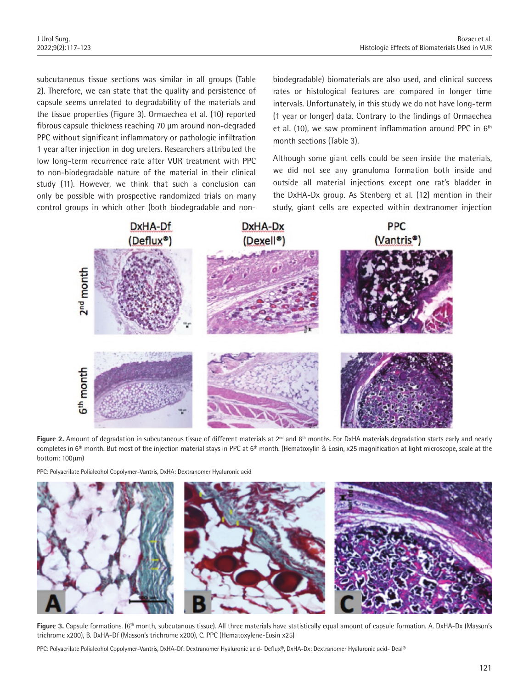subcutaneous tissue sections was similar in all groups (Table 2). Therefore, we can state that the quality and persistence of capsule seems unrelated to degradability of the materials and the tissue properties (Figure 3). Ormaechea et al. (10) reported fibrous capsule thickness reaching 70 μm around non-degraded PPC without significant inflammatory or pathologic infiltration 1 year after injection in dog ureters. Researchers attributed the low long-term recurrence rate after VUR treatment with PPC to non-biodegradable nature of the material in their clinical study (11). However, we think that such a conclusion can only be possible with prospective randomized trials on many control groups in which other (both biodegradable and nonbiodegradable) biomaterials are also used, and clinical success rates or histological features are compared in longer time intervals. Unfortunately, in this study we do not have long-term (1 year or longer) data. Contrary to the findings of Ormaechea et al. (10), we saw prominent inflammation around PPC in  $6<sup>th</sup>$ month sections (Table 3).

Although some giant cells could be seen inside the materials, we did not see any granuloma formation both inside and outside all material injections except one rat's bladder in the DxHA-Dx group. As Stenberg et al. (12) mention in their study, giant cells are expected within dextranomer injection



Figure 2. Amount of degradation in subcutaneous tissue of different materials at 2<sup>nd</sup> and 6<sup>th</sup> months. For DxHA materials degradation starts early and nearly completes in  $6<sup>th</sup>$  month. But most of the injection material stays in PPC at  $6<sup>th</sup>$  month. (Hematoxylin & Eosin, x25 magnification at light microscope, scale at the bottom: 100μm)

PPC: Polyacrilate Polialcohol Copolymer-Vantris, DxHA: Dextranomer Hyaluronic acid



Figure 3. Capsule formations. (6<sup>th</sup> month, subcutanous tissue). All three materials have statistically equal amount of capsule formation. A. DxHA-Dx (Masson's trichrome x200), B. DxHA-Df (Masson's trichrome x200), C. PPC (Hematoxylene-Eosin x25)

PPC: Polyacrilate Polialcohol Copolymer-Vantris, DxHA-Df: Dextranomer Hyaluronic acid- Deflux®, DxHA-Dx: Dextranomer Hyaluronic acid- Deal®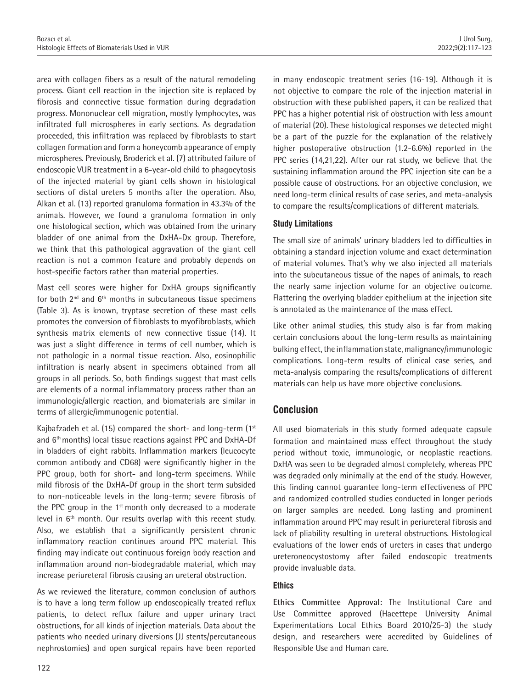area with collagen fibers as a result of the natural remodeling process. Giant cell reaction in the injection site is replaced by fibrosis and connective tissue formation during degradation progress. Mononuclear cell migration, mostly lymphocytes, was infiltrated full microspheres in early sections. As degradation proceeded, this infiltration was replaced by fibroblasts to start collagen formation and form a honeycomb appearance of empty microspheres. Previously, Broderick et al. (7) attributed failure of endoscopic VUR treatment in a 6-year-old child to phagocytosis of the injected material by giant cells shown in histological sections of distal ureters 5 months after the operation. Also, Alkan et al. (13) reported granuloma formation in 43.3% of the animals. However, we found a granuloma formation in only one histological section, which was obtained from the urinary bladder of one animal from the DxHA-Dx group. Therefore, we think that this pathological aggravation of the giant cell reaction is not a common feature and probably depends on host-specific factors rather than material properties.

Mast cell scores were higher for DxHA groups significantly for both  $2^{nd}$  and  $6^{th}$  months in subcutaneous tissue specimens (Table 3). As is known, tryptase secretion of these mast cells promotes the conversion of fibroblasts to myofibroblasts, which synthesis matrix elements of new connective tissue (14). It was just a slight difference in terms of cell number, which is not pathologic in a normal tissue reaction. Also, eosinophilic infiltration is nearly absent in specimens obtained from all groups in all periods. So, both findings suggest that mast cells are elements of a normal inflammatory process rather than an immunologic/allergic reaction, and biomaterials are similar in terms of allergic/immunogenic potential.

Kajbafzadeh et al. (15) compared the short- and long-term  $(1<sup>st</sup>$ and 6<sup>th</sup> months) local tissue reactions against PPC and DxHA-Df in bladders of eight rabbits. Inflammation markers (leucocyte common antibody and CD68) were significantly higher in the PPC group, both for short- and long-term specimens. While mild fibrosis of the DxHA-Df group in the short term subsided to non-noticeable levels in the long-term; severe fibrosis of the PPC group in the  $1<sup>st</sup>$  month only decreased to a moderate level in 6<sup>th</sup> month. Our results overlap with this recent study. Also, we establish that a significantly persistent chronic inflammatory reaction continues around PPC material. This finding may indicate out continuous foreign body reaction and inflammation around non-biodegradable material, which may increase periureteral fibrosis causing an ureteral obstruction.

As we reviewed the literature, common conclusion of authors is to have a long term follow up endoscopically treated reflux patients, to detect reflux failure and upper urinary tract obstructions, for all kinds of injection materials. Data about the patients who needed urinary diversions (JJ stents/percutaneous nephrostomies) and open surgical repairs have been reported

in many endoscopic treatment series (16-19). Although it is not objective to compare the role of the injection material in obstruction with these published papers, it can be realized that PPC has a higher potential risk of obstruction with less amount of material (20). These histological responses we detected might be a part of the puzzle for the explanation of the relatively higher postoperative obstruction (1.2-6.6%) reported in the PPC series (14,21,22). After our rat study, we believe that the sustaining inflammation around the PPC injection site can be a possible cause of obstructions. For an objective conclusion, we need long-term clinical results of case series, and meta-analysis to compare the results/complications of different materials.

### **Study Limitations**

The small size of animals' urinary bladders led to difficulties in obtaining a standard injection volume and exact determination of material volumes. That's why we also injected all materials into the subcutaneous tissue of the napes of animals, to reach the nearly same injection volume for an objective outcome. Flattering the overlying bladder epithelium at the injection site is annotated as the maintenance of the mass effect.

Like other animal studies, this study also is far from making certain conclusions about the long-term results as maintaining bulking effect, the inflammation state, malignancy/immunologic complications. Long-term results of clinical case series, and meta-analysis comparing the results/complications of different materials can help us have more objective conclusions.

# **Conclusion**

All used biomaterials in this study formed adequate capsule formation and maintained mass effect throughout the study period without toxic, immunologic, or neoplastic reactions. DxHA was seen to be degraded almost completely, whereas PPC was degraded only minimally at the end of the study. However, this finding cannot guarantee long-term effectiveness of PPC and randomized controlled studies conducted in longer periods on larger samples are needed. Long lasting and prominent inflammation around PPC may result in periureteral fibrosis and lack of pliability resulting in ureteral obstructions. Histological evaluations of the lower ends of ureters in cases that undergo ureteroneocystostomy after failed endoscopic treatments provide invaluable data.

#### **Ethics**

**Ethics Committee Approval:** The Institutional Care and Use Committee approved (Hacettepe University Animal Experimentations Local Ethics Board 2010/25-3) the study design, and researchers were accredited by Guidelines of Responsible Use and Human care.